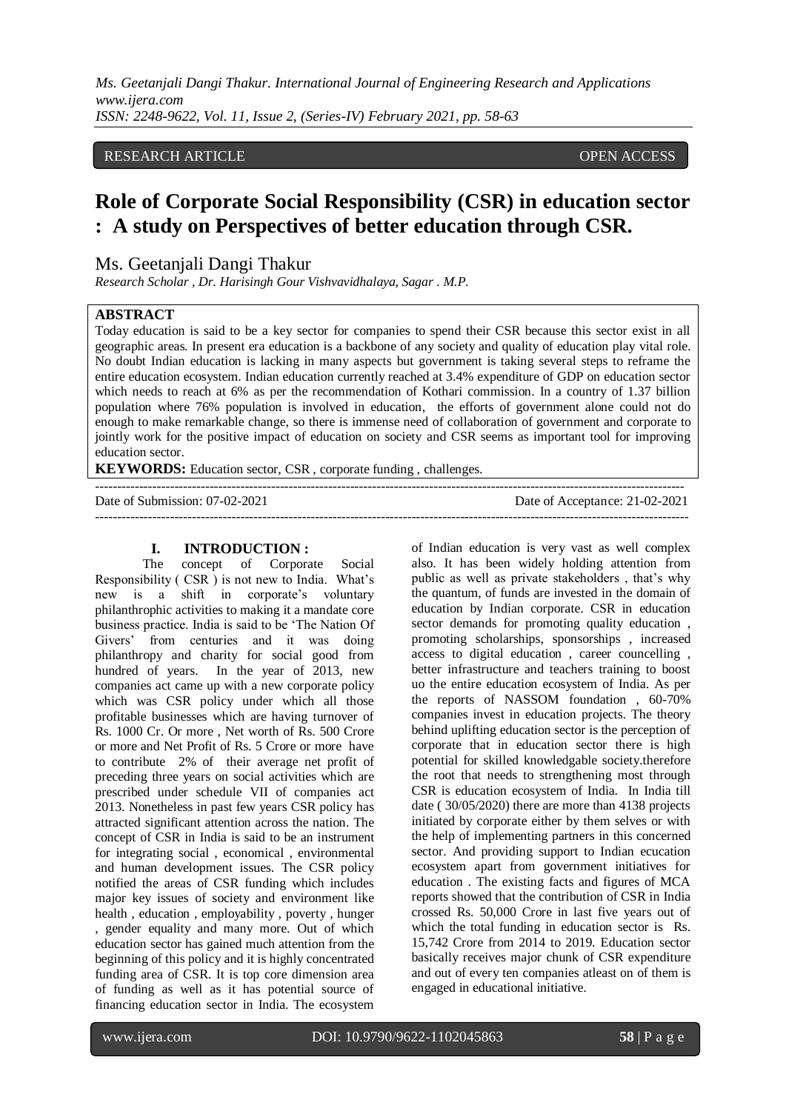## RESEARCH ARTICLE **CONSERVERS** OPEN ACCESS

# **Role of Corporate Social Responsibility (CSR) in education sector : A study on Perspectives of better education through CSR.**

Ms. Geetanjali Dangi Thakur

*Research Scholar , Dr. Harisingh Gour Vishvavidhalaya, Sagar . M.P.*

#### **ABSTRACT**

Today education is said to be a key sector for companies to spend their CSR because this sector exist in all geographic areas. In present era education is a backbone of any society and quality of education play vital role. No doubt Indian education is lacking in many aspects but government is taking several steps to reframe the entire education ecosystem. Indian education currently reached at 3.4% expenditure of GDP on education sector which needs to reach at 6% as per the recommendation of Kothari commission. In a country of 1.37 billion population where 76% population is involved in education, the efforts of government alone could not do enough to make remarkable change, so there is immense need of collaboration of government and corporate to jointly work for the positive impact of education on society and CSR seems as important tool for improving education sector.

--------------------------------------------------------------------------------------------------------------------------------------

---------------------------------------------------------------------------------------------------------------------------------------

**KEYWORDS:** Education sector, CSR , corporate funding , challenges.

Date of Submission: 07-02-2021 Date of Acceptance: 21-02-2021

## **I. INTRODUCTION :**

The concept of Corporate Social Responsibility ( CSR ) is not new to India. What's new is a shift in corporate's voluntary philanthrophic activities to making it a mandate core business practice. India is said to be 'The Nation Of Givers' from centuries and it was doing philanthropy and charity for social good from hundred of years. In the year of 2013, new companies act came up with a new corporate policy which was CSR policy under which all those profitable businesses which are having turnover of Rs. 1000 Cr. Or more , Net worth of Rs. 500 Crore or more and Net Profit of Rs. 5 Crore or more have to contribute 2% of their average net profit of preceding three years on social activities which are prescribed under schedule VII of companies act 2013. Nonetheless in past few years CSR policy has attracted significant attention across the nation. The concept of CSR in India is said to be an instrument for integrating social , economical , environmental and human development issues. The CSR policy notified the areas of CSR funding which includes major key issues of society and environment like health , education , employability , poverty , hunger , gender equality and many more. Out of which education sector has gained much attention from the beginning of this policy and it is highly concentrated funding area of CSR. It is top core dimension area of funding as well as it has potential source of financing education sector in India. The ecosystem of Indian education is very vast as well complex also. It has been widely holding attention from public as well as private stakeholders , that's why the quantum, of funds are invested in the domain of education by Indian corporate. CSR in education sector demands for promoting quality education , promoting scholarships, sponsorships , increased access to digital education , career councelling , better infrastructure and teachers training to boost uo the entire education ecosystem of India. As per the reports of NASSOM foundation , 60-70% companies invest in education projects. The theory behind uplifting education sector is the perception of corporate that in education sector there is high potential for skilled knowledgable society.therefore the root that needs to strengthening most through CSR is education ecosystem of India. In India till date ( 30/05/2020) there are more than 4138 projects initiated by corporate either by them selves or with the help of implementing partners in this concerned sector. And providing support to Indian ecucation ecosystem apart from government initiatives for education . The existing facts and figures of MCA reports showed that the contribution of CSR in India crossed Rs. 50,000 Crore in last five years out of which the total funding in education sector is Rs. 15,742 Crore from 2014 to 2019. Education sector basically receives major chunk of CSR expenditure and out of every ten companies atleast on of them is engaged in educational initiative.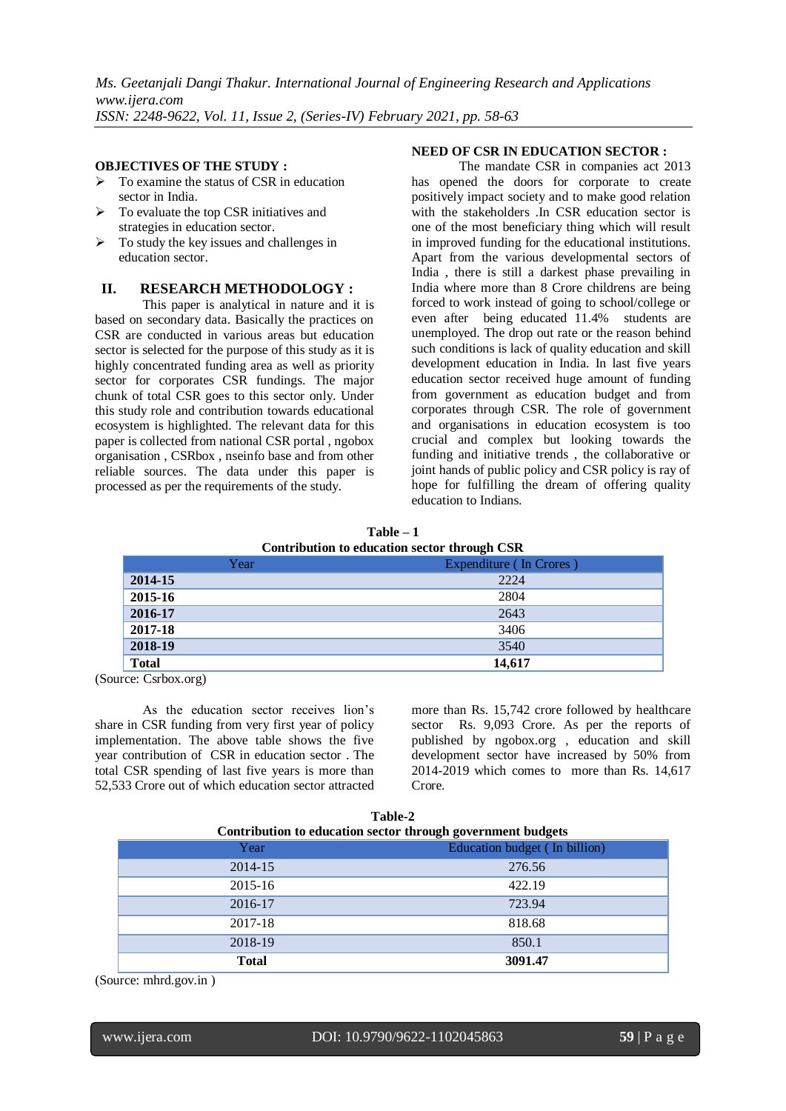#### **OBJECTIVES OF THE STUDY :**

- To examine the status of CSR in education sector in India.
- $\triangleright$  To evaluate the top CSR initiatives and strategies in education sector.
- $\triangleright$  To study the key issues and challenges in education sector.

#### **II. RESEARCH METHODOLOGY :**

This paper is analytical in nature and it is based on secondary data. Basically the practices on CSR are conducted in various areas but education sector is selected for the purpose of this study as it is highly concentrated funding area as well as priority sector for corporates CSR fundings. The major chunk of total CSR goes to this sector only. Under this study role and contribution towards educational ecosystem is highlighted. The relevant data for this paper is collected from national CSR portal , ngobox organisation , CSRbox , nseinfo base and from other reliable sources. The data under this paper is processed as per the requirements of the study.

#### **NEED OF CSR IN EDUCATION SECTOR :**

The mandate CSR in companies act 2013 has opened the doors for corporate to create positively impact society and to make good relation with the stakeholders .In CSR education sector is one of the most beneficiary thing which will result in improved funding for the educational institutions. Apart from the various developmental sectors of India , there is still a darkest phase prevailing in India where more than 8 Crore childrens are being forced to work instead of going to school/college or even after being educated 11.4% students are unemployed. The drop out rate or the reason behind such conditions is lack of quality education and skill development education in India. In last five years education sector received huge amount of funding from government as education budget and from corporates through CSR. The role of government and organisations in education ecosystem is too crucial and complex but looking towards the funding and initiative trends , the collaborative or joint hands of public policy and CSR policy is ray of hope for fulfilling the dream of offering quality education to Indians.

**Table – 1 Contribution to education sector through CSR** 

| Year         | $\tilde{}$<br>Expenditure (In Crores) |
|--------------|---------------------------------------|
| 2014-15      | 2224                                  |
| 2015-16      | 2804                                  |
| 2016-17      | 2643                                  |
| 2017-18      | 3406                                  |
| 2018-19      | 3540                                  |
| <b>Total</b> | 14,617                                |

(Source: Csrbox.org)

As the education sector receives lion's share in CSR funding from very first year of policy implementation. The above table shows the five year contribution of CSR in education sector . The total CSR spending of last five years is more than 52,533 Crore out of which education sector attracted more than Rs. 15,742 crore followed by healthcare sector Rs. 9,093 Crore. As per the reports of published by ngobox.org , education and skill development sector have increased by 50% from 2014-2019 which comes to more than Rs. 14,617 Crore.

| Table-2<br>Contribution to education sector through government budgets |                               |  |  |  |
|------------------------------------------------------------------------|-------------------------------|--|--|--|
| Year                                                                   | Education budget (In billion) |  |  |  |
| 2014-15                                                                | 276.56                        |  |  |  |
| 2015-16                                                                | 422.19                        |  |  |  |
| 2016-17                                                                | 723.94                        |  |  |  |
| 2017-18                                                                | 818.68                        |  |  |  |
| 2018-19                                                                | 850.1                         |  |  |  |
| <b>Total</b>                                                           | 3091.47                       |  |  |  |

(Source: mhrd.gov.in )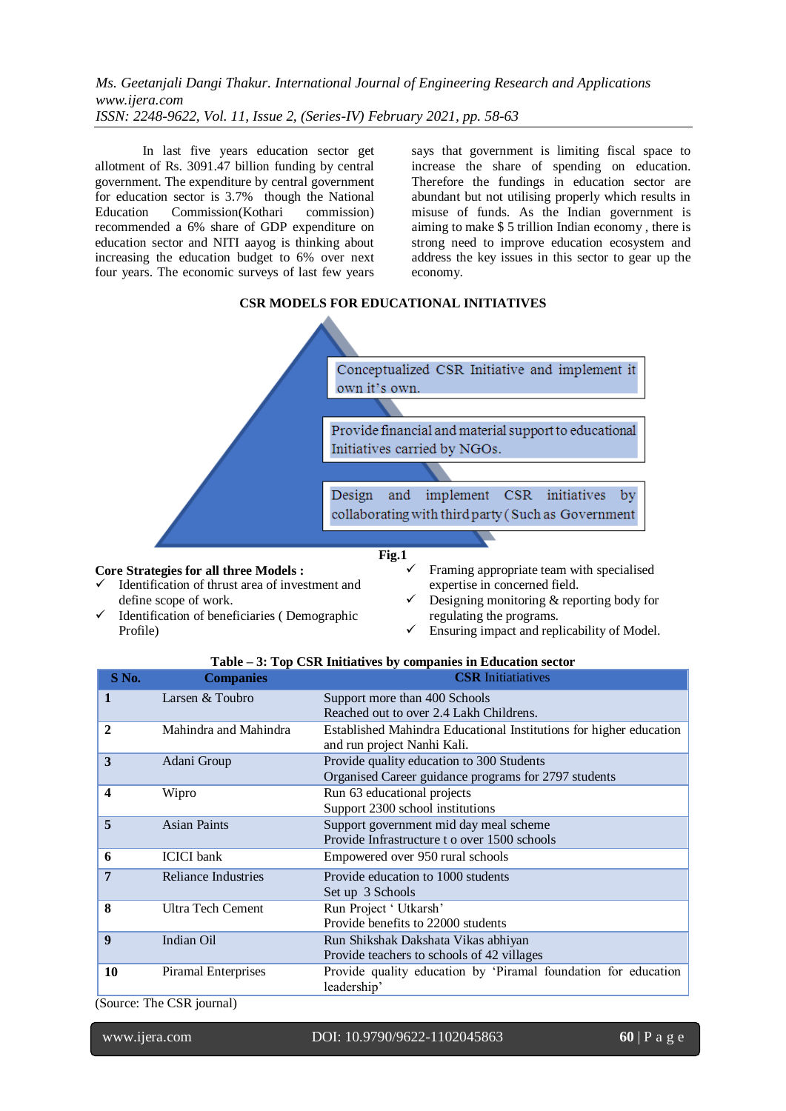In last five years education sector get allotment of Rs. 3091.47 billion funding by central government. The expenditure by central government for education sector is 3.7% though the National Education Commission(Kothari commission) recommended a 6% share of GDP expenditure on education sector and NITI aayog is thinking about increasing the education budget to 6% over next four years. The economic surveys of last few years says that government is limiting fiscal space to increase the share of spending on education. Therefore the fundings in education sector are abundant but not utilising properly which results in misuse of funds. As the Indian government is aiming to make \$ 5 trillion Indian economy , there is strong need to improve education ecosystem and address the key issues in this sector to gear up the economy.

## **CSR MODELS FOR EDUCATIONAL INITIATIVES**



## **Core Strategies for all three Models :**

- Identification of thrust area of investment and define scope of work.
- $\checkmark$  Identification of beneficiaries (Demographic Profile)
- Framing appropriate team with specialised expertise in concerned field.
- $\checkmark$  Designing monitoring & reporting body for regulating the programs.
- Ensuring impact and replicability of Model.

## **Table – 3: Top CSR Initiatives by companies in Education sector**

| S No.        | <b>Companies</b>           | <b>CSR</b> Initiatiatives                                          |  |  |
|--------------|----------------------------|--------------------------------------------------------------------|--|--|
| 1            | Larsen & Toubro            | Support more than 400 Schools                                      |  |  |
|              |                            | Reached out to over 2.4 Lakh Childrens.                            |  |  |
| $\mathbf{2}$ | Mahindra and Mahindra      | Established Mahindra Educational Institutions for higher education |  |  |
|              |                            | and run project Nanhi Kali.                                        |  |  |
| 3            | Adani Group                | Provide quality education to 300 Students                          |  |  |
|              |                            | Organised Career guidance programs for 2797 students               |  |  |
| 4            | Wipro                      | Run 63 educational projects                                        |  |  |
|              |                            | Support 2300 school institutions                                   |  |  |
| 5            | <b>Asian Paints</b>        | Support government mid day meal scheme                             |  |  |
|              |                            | Provide Infrastructure to over 1500 schools                        |  |  |
| 6            | <b>ICICI</b> bank          | Empowered over 950 rural schools                                   |  |  |
| 7            | <b>Reliance Industries</b> | Provide education to 1000 students                                 |  |  |
|              |                            | Set up 3 Schools                                                   |  |  |
| 8            | <b>Ultra Tech Cement</b>   | Run Project ' Utkarsh'<br>Provide benefits to 22000 students       |  |  |
|              |                            |                                                                    |  |  |
| 9            | Indian Oil                 | Run Shikshak Dakshata Vikas abhiyan                                |  |  |
|              |                            | Provide teachers to schools of 42 villages                         |  |  |
| 10           | Piramal Enterprises        | Provide quality education by 'Piramal foundation for education     |  |  |
|              |                            | leadership'                                                        |  |  |

(Source: The CSR journal)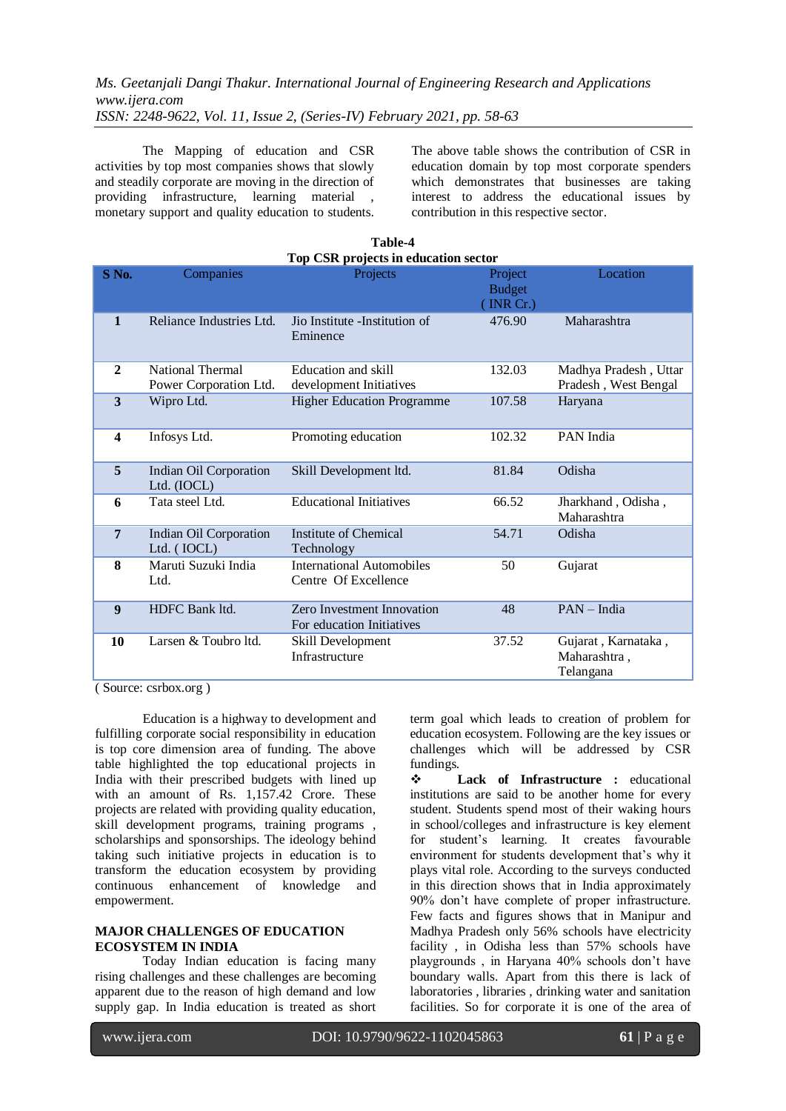The Mapping of education and CSR activities by top most companies shows that slowly and steadily corporate are moving in the direction of providing infrastructure, learning material , monetary support and quality education to students. The above table shows the contribution of CSR in education domain by top most corporate spenders which demonstrates that businesses are taking interest to address the educational issues by contribution in this respective sector.

| Top CSR projects in education sector |                                            |                                                                |                                       |                                                  |  |  |  |
|--------------------------------------|--------------------------------------------|----------------------------------------------------------------|---------------------------------------|--------------------------------------------------|--|--|--|
| S <sub>No.</sub>                     | Companies                                  | Projects                                                       | Project<br><b>Budget</b><br>[INR Cr.) | Location                                         |  |  |  |
| $\mathbf{1}$                         | Reliance Industries Ltd.                   | Jio Institute - Institution of<br>Eminence                     | 476.90                                | Maharashtra                                      |  |  |  |
| $\mathbf{2}$                         | National Thermal<br>Power Corporation Ltd. | Education and skill<br>development Initiatives                 | 132.03                                | Madhya Pradesh, Uttar<br>Pradesh, West Bengal    |  |  |  |
| 3                                    | Wipro Ltd.                                 | <b>Higher Education Programme</b>                              | 107.58                                | Haryana                                          |  |  |  |
| $\overline{\mathbf{4}}$              | Infosys Ltd.                               | Promoting education                                            | 102.32                                | PAN India                                        |  |  |  |
| 5                                    | Indian Oil Corporation<br>Ltd. (IOCL)      | Skill Development ltd.                                         | 81.84                                 | Odisha                                           |  |  |  |
| 6                                    | Tata steel Ltd.                            | <b>Educational Initiatives</b>                                 | 66.52                                 | Jharkhand, Odisha,<br>Maharashtra                |  |  |  |
| $\overline{7}$                       | Indian Oil Corporation<br>Ltd. (IOCL)      | Institute of Chemical<br>Technology                            | 54.71                                 | Odisha                                           |  |  |  |
| 8                                    | Maruti Suzuki India<br>Ltd.                | International Automobiles<br>Centre Of Excellence              | 50                                    | Gujarat                                          |  |  |  |
| 9                                    | HDFC Bank ltd.                             | <b>Zero Investment Innovation</b><br>For education Initiatives | 48                                    | PAN - India                                      |  |  |  |
| 10                                   | Larsen & Toubro ltd.                       | Skill Development<br>Infrastructure                            | 37.52                                 | Gujarat, Karnataka,<br>Maharashtra,<br>Telangana |  |  |  |

**Table-4**

( Source: csrbox.org )

Education is a highway to development and fulfilling corporate social responsibility in education is top core dimension area of funding. The above table highlighted the top educational projects in India with their prescribed budgets with lined up with an amount of Rs. 1,157.42 Crore. These projects are related with providing quality education, skill development programs, training programs , scholarships and sponsorships. The ideology behind taking such initiative projects in education is to transform the education ecosystem by providing continuous enhancement of knowledge and empowerment.

## **MAJOR CHALLENGES OF EDUCATION ECOSYSTEM IN INDIA**

Today Indian education is facing many rising challenges and these challenges are becoming apparent due to the reason of high demand and low supply gap. In India education is treated as short

term goal which leads to creation of problem for education ecosystem. Following are the key issues or challenges which will be addressed by CSR fundings.

 **Lack of Infrastructure :** educational institutions are said to be another home for every student. Students spend most of their waking hours in school/colleges and infrastructure is key element for student's learning. It creates favourable environment for students development that's why it plays vital role. According to the surveys conducted in this direction shows that in India approximately 90% don't have complete of proper infrastructure. Few facts and figures shows that in Manipur and Madhya Pradesh only 56% schools have electricity facility , in Odisha less than 57% schools have playgrounds , in Haryana 40% schools don't have boundary walls. Apart from this there is lack of laboratories , libraries , drinking water and sanitation facilities. So for corporate it is one of the area of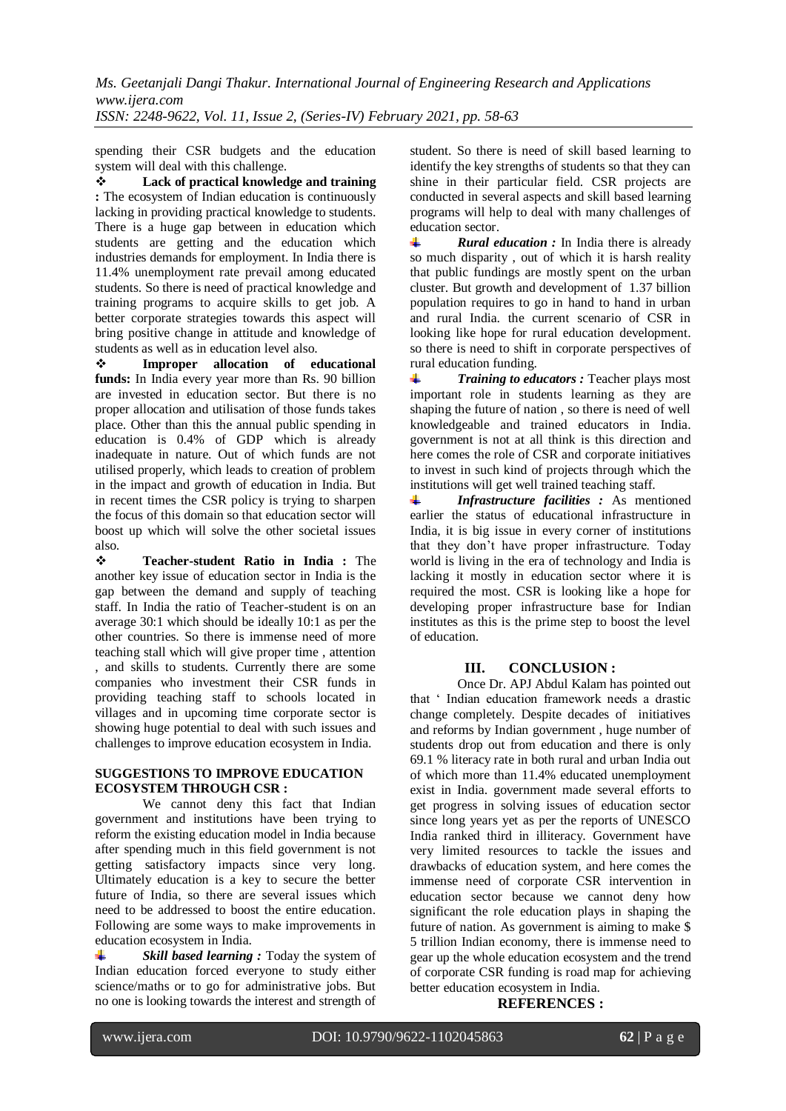spending their CSR budgets and the education system will deal with this challenge.

 **Lack of practical knowledge and training :** The ecosystem of Indian education is continuously lacking in providing practical knowledge to students. There is a huge gap between in education which students are getting and the education which industries demands for employment. In India there is 11.4% unemployment rate prevail among educated students. So there is need of practical knowledge and training programs to acquire skills to get job. A better corporate strategies towards this aspect will bring positive change in attitude and knowledge of students as well as in education level also.

 **Improper allocation of educational**  funds: In India every year more than Rs. 90 billion are invested in education sector. But there is no proper allocation and utilisation of those funds takes place. Other than this the annual public spending in education is 0.4% of GDP which is already inadequate in nature. Out of which funds are not utilised properly, which leads to creation of problem in the impact and growth of education in India. But in recent times the CSR policy is trying to sharpen the focus of this domain so that education sector will boost up which will solve the other societal issues also.

 **Teacher-student Ratio in India :** The another key issue of education sector in India is the gap between the demand and supply of teaching staff. In India the ratio of Teacher-student is on an average 30:1 which should be ideally 10:1 as per the other countries. So there is immense need of more teaching stall which will give proper time , attention , and skills to students. Currently there are some companies who investment their CSR funds in providing teaching staff to schools located in villages and in upcoming time corporate sector is showing huge potential to deal with such issues and challenges to improve education ecosystem in India.

#### **SUGGESTIONS TO IMPROVE EDUCATION ECOSYSTEM THROUGH CSR :**

We cannot deny this fact that Indian government and institutions have been trying to reform the existing education model in India because after spending much in this field government is not getting satisfactory impacts since very long. Ultimately education is a key to secure the better future of India, so there are several issues which need to be addressed to boost the entire education. Following are some ways to make improvements in education ecosystem in India.

4 *Skill based learning :* Today the system of Indian education forced everyone to study either science/maths or to go for administrative jobs. But no one is looking towards the interest and strength of student. So there is need of skill based learning to identify the key strengths of students so that they can shine in their particular field. CSR projects are conducted in several aspects and skill based learning programs will help to deal with many challenges of education sector.

 $\pm$ *Rural education :* In India there is already so much disparity , out of which it is harsh reality that public fundings are mostly spent on the urban cluster. But growth and development of 1.37 billion population requires to go in hand to hand in urban and rural India. the current scenario of CSR in looking like hope for rural education development. so there is need to shift in corporate perspectives of rural education funding.

*Training to educators :* Teacher plays most ÷. important role in students learning as they are shaping the future of nation , so there is need of well knowledgeable and trained educators in India. government is not at all think is this direction and here comes the role of CSR and corporate initiatives to invest in such kind of projects through which the institutions will get well trained teaching staff.

÷ *Infrastructure facilities :* As mentioned earlier the status of educational infrastructure in India, it is big issue in every corner of institutions that they don't have proper infrastructure. Today world is living in the era of technology and India is lacking it mostly in education sector where it is required the most. CSR is looking like a hope for developing proper infrastructure base for Indian institutes as this is the prime step to boost the level of education.

## **III. CONCLUSION :**

Once Dr. APJ Abdul Kalam has pointed out that ' Indian education framework needs a drastic change completely. Despite decades of initiatives and reforms by Indian government , huge number of students drop out from education and there is only 69.1 % literacy rate in both rural and urban India out of which more than 11.4% educated unemployment exist in India. government made several efforts to get progress in solving issues of education sector since long years yet as per the reports of UNESCO India ranked third in illiteracy. Government have very limited resources to tackle the issues and drawbacks of education system, and here comes the immense need of corporate CSR intervention in education sector because we cannot deny how significant the role education plays in shaping the future of nation. As government is aiming to make \$ 5 trillion Indian economy, there is immense need to gear up the whole education ecosystem and the trend of corporate CSR funding is road map for achieving better education ecosystem in India.

## **REFERENCES :**